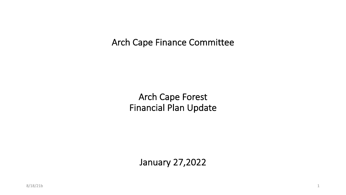Arch Cape Finance Committee

Arch Cape Forest Financial Plan Update

January 27,2022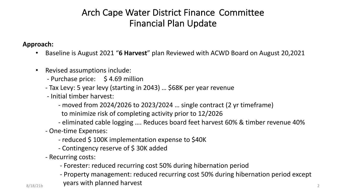# Arch Cape Water District Finance Committee Financial Plan Update

**Approach:**

- Baseline is August 2021 "**6 Harvest**" plan Reviewed with ACWD Board on August 20,2021
- Revised assumptions include:
	- Purchase price: \$4.69 million
	- Tax Levy: 5 year levy (starting in 2043) … \$68K per year revenue
	- Initial timber harvest:
		- moved from 2024/2026 to 2023/2024 … single contract (2 yr timeframe)
		- to minimize risk of completing activity prior to 12/2026
		- eliminated cable logging …. Reduces board feet harvest 60% & timber revenue 40%
	- One-time Expenses:
		- reduced \$ 100K implementation expense to \$40K
		- Contingency reserve of \$ 30K added
	- Recurring costs:
		- Forester: reduced recurring cost 50% during hibernation period
- $_{8/18/21b}$  years with planned harvest  $_{2}$ - Property management: reduced recurring cost 50% during hibernation period except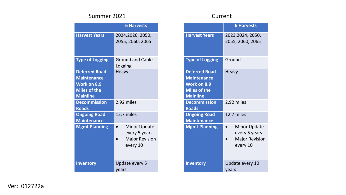## Summer 2021 Current

|                                                                                                            | <b>6 Harvests</b>                                                         |
|------------------------------------------------------------------------------------------------------------|---------------------------------------------------------------------------|
| <b>Harvest Years</b>                                                                                       | 2024,2026, 2050,<br>2055, 2060, 2065                                      |
| <b>Type of Logging</b>                                                                                     | <b>Ground and Cable</b><br>Logging                                        |
| <b>Deferred Road</b><br><b>Maintenance</b><br><b>Work on 8.9</b><br><b>Miles of the</b><br><b>Mainline</b> | <b>Heavy</b>                                                              |
| <b>Decommission</b><br><b>Roads</b>                                                                        | 2.92 miles                                                                |
| <b>Ongoing Road</b><br><b>Maintenance</b>                                                                  | 12.7 miles                                                                |
| <b>Mgmt Planning</b>                                                                                       | <b>Minor Update</b><br>every 5 years<br><b>Major Revision</b><br>every 10 |
| <b>Inventory</b>                                                                                           | Update every 5<br>years                                                   |

|                                                                                                     | <b>6 Harvests</b>                                                         |
|-----------------------------------------------------------------------------------------------------|---------------------------------------------------------------------------|
| <b>Harvest Years</b>                                                                                | 2023, 2024, 2050,<br>2055, 2060, 2065                                     |
| <b>Type of Logging</b>                                                                              | Ground                                                                    |
| <b>Deferred Road</b><br><b>Maintenance</b><br>Work on 8.9<br><b>Miles of the</b><br><b>Mainline</b> | Heavy                                                                     |
| <b>Decommission</b><br><b>Roads</b>                                                                 | 2.92 miles                                                                |
| <b>Ongoing Road</b><br><b>Maintenance</b>                                                           | 12.7 miles                                                                |
| <b>Mgmt Planning</b>                                                                                | <b>Minor Update</b><br>every 5 years<br><b>Major Revision</b><br>every 10 |
| <b>Inventory</b>                                                                                    | Update every 10<br>years                                                  |

Ver: 012722a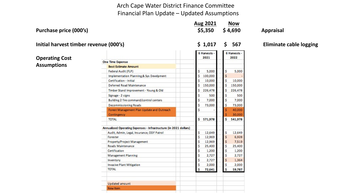## Arch Cape Water District Finance Committee Financial Plan Update – Updated Assumptions

Purchase price (000's) **6.1 and 5.350** \$4,690 Appraisal

**Aug 2021 Now**

**Initial harvest timber revenue (000's) \$ 1,017 \$ 567 Eliminate cable logging** 

**Operating Cost Assumptions**

|                                                                  | <b>6 Harvests</b><br>2021 | 6 Harvests -<br>2022 |
|------------------------------------------------------------------|---------------------------|----------------------|
| <b>One Time Expense</b>                                          |                           |                      |
| <b>Best Estimate Amount</b>                                      |                           |                      |
| Federal Audit (FLP)                                              | 5,000<br>\$               | \$<br>5,000          |
| Implementation Planning & Sys Develpment                         | Ś<br>100,000              | Ś                    |
| Certification - Initial                                          | Ś<br>10,000               | Ś<br>10,000          |
| Deferred Road Maintenance                                        | Ś<br>150,000              | Ś<br>150,000         |
| Timber Stand Improvement - Young & Old                           | Ś<br>226,478              | Ś<br>226,478         |
| Signage - 2 signs                                                | Ś<br>500                  | Ś<br>500             |
| Building 2 fire command/control centers                          | Ś<br>7,000                | \$<br>7,000          |
| <b>Decommissioning Roads</b>                                     | Ś<br>73,000               | ś<br>73,000          |
| Forest Management Plan Update and Outreach                       | Ś                         | ś<br>40,000          |
| Contingency                                                      |                           | ś<br>30,000          |
| <b>TOTAL</b>                                                     | Ś<br>571,978              | Ś<br>541,978         |
| Annualized Operating Expenses - Infrastructure (in 2021 dollars) |                           |                      |
| Audit, Admin, Legal, Insurance, ODF Patrol                       | 12,649<br>\$              | Ś<br>12,649          |
| Forester                                                         | Ś<br>12,969               | ś<br>6.928           |
| Property/Project Management                                      | Ś<br>12,969               | Ś<br>7,519           |
| Roads Maintenance                                                | Ś<br>25,400               | Ś<br>25,400          |
| Certification                                                    | Ś<br>1,200                | Ś<br>1,200           |
| Management Planning                                              | Ś<br>2.727                | Ś<br>2.727           |
| Inventory                                                        | Ś<br>2,727                | Ś<br>1,364           |
| Invasive Plant Mitigation                                        | \$<br>2,000               | \$<br>2,000          |
| <b>TOTAL</b>                                                     | Ś<br>72,641               | Ś<br>59,787          |
| Updated amount                                                   |                           |                      |
| New Item                                                         |                           |                      |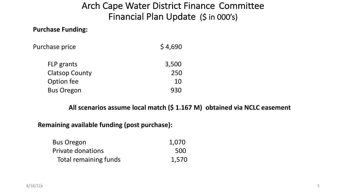# Arch Cape Water District Finance Committee Financial Plan Update (\$ in 000's)

# **Purchase Funding:**

| Purchase price | \$4,690 |
|----------------|---------|
|----------------|---------|

| FLP grants            | 3,500 |
|-----------------------|-------|
| <b>Clatsop County</b> | 250   |
| Option fee            | 10    |
| <b>Bus Oregon</b>     | 930   |

# **All scenarios assume local match (\$ 1.167 M) obtained via NCLC easement**

## **Remaining available funding (post purchase):**

| <b>Bus Oregon</b>        | 1,070 |
|--------------------------|-------|
| <b>Private donations</b> | 500   |
| Total remaining funds    | 1,570 |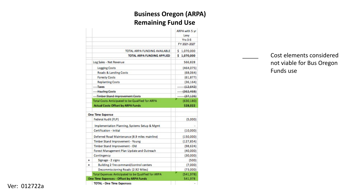# **Business Oregon (ARPA) Remaining Fund Use**

|   |                                                     | ARPA with 5 yr<br>Levy |
|---|-----------------------------------------------------|------------------------|
|   |                                                     | $Yrs$ 0-5              |
|   |                                                     | FY 2021-2027           |
|   | TOTAL ARPA FUNDING AVAILABLE                        | \$1,070,000            |
|   | TOTAL ARPA FUNDING APPLIED                          | \$1,070,000            |
|   | Log Sales - Net Revenue                             | 566,828                |
|   | <b>Logging Costs</b>                                | (464,075)              |
|   | Roads & Landing Costs                               | (68,064)               |
|   | <b>Foresty Costs</b>                                | (61, 877)              |
|   | <b>Replanting Costs</b>                             | (36, 164)              |
|   | Taxes                                               | (12, 642)              |
|   | <b>Hauling Costs</b>                                | (362, 468)             |
|   | Timber-Stand-Improvement-Costs                      | (37, 126)              |
|   | Total Costs Anticipated to be Qualified for ARPA    | (630, 180)             |
|   | <b>Actual Costs Offset by ARPA Funds</b>            | 528,022                |
|   | <b>One Time Expense</b>                             |                        |
|   | Federal Audit (FLP)                                 | (5,000)                |
|   | Implementation Planning, Systems Setup & Mgmt       |                        |
|   | Certification - Initial                             | (10,000)               |
|   | Deferred Road Maintenance (8.9 miles mainline)      | (150,000)              |
|   | Timber Stand Improvement - Young                    | (127.854)              |
|   | Timber Stand Improvement - Old                      | (98, 624)              |
|   | Forest Management Plan Update and Outreach          | (40,000)               |
|   | Contingency                                         | (30,000)               |
| + | Signage - 2 signs                                   | (500)                  |
| ÷ | Building 2 fire command/control centers             | (7,000)                |
|   | Decommissioning Roads (2.92 Miles)                  | (73,000)               |
|   | Total Expenses Anticipated to be Qualified for ARPA | (541, 978)             |
|   | One Time Expenses - Offset by ARPA Funds            | 541,978                |
|   | <b>TOTAL - One Time Expenses</b>                    |                        |

Cost elements considered not viable for Bus Oregon Funds use

#### Ver: 012722a